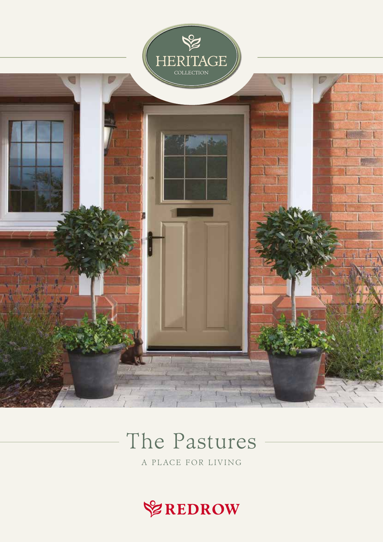

# The Pastures

A PLACE FOR LIVING

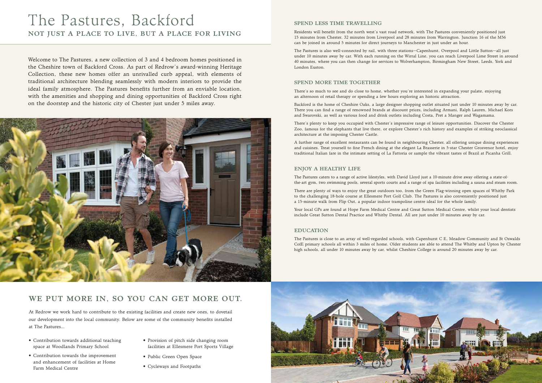Welcome to The Pastures, a new collection of 3 and 4 bedroom homes positioned in the Cheshire town of Backford Cross. As part of Redrow's award-winning Heritage Collection, these new homes offer an unrivalled curb appeal, with elements of traditional architecture blending seamlessly with modern interiors to provide the ideal family atmosphere. The Pastures benefits further from an enviable location, with the amenities and shopping and dining opportunities of Backford Cross right on the doorstep and the historic city of Chester just under 5 miles away.



#### SPEND LESS TIME TRAVELLING

Residents will benefit from the north west's vast road network, with The Pastures conveniently positioned just 15 minutes from Chester, 32 minutes from Liverpool and 28 minutes from Warrington. Junction 16 of the M56 can be joined in around 5 minutes for direct journeys to Manchester in just under an hour.

The Pastures is also well-connected by rail, with three stations—Capenhurst, Overpool and Little Sutton—all just under 10 minutes away by car. With each running on the Wirral Line, you can reach Liverpool Lime Street in around 40 minutes, where you can then change for services to Wolverhampton, Birmingham New Street, Leeds, York and London Euston.

#### SPEND MORE TIME TOGETHER

There's so much to see and do close to home, whether you're interested in expanding your palate, enjoying an afternoon of retail therapy or spending a few hours exploring an historic attraction.

Backford is the home of Cheshire Oaks, a large designer shopping outlet situated just under 10 minutes away by car. There you can find a range of renowned brands at discount prices, including Armani, Ralph Lauren, Michael Kors and Swarovski, as well as various food and drink outlets including Costa, Pret a Manger and Wagamama.

There's plenty to keep you occupied with Chester's impressive range of leisure opportunities. Discover the Chester Zoo, famous for the elephants that live there, or explore Chester's rich history and examples of striking neoclassical architecture at the imposing Chester Castle.

- Contribution towards additional teaching space at Woodlands Primary School
- • Contribution towards the improvement and enhancement of facilities at Home Farm Medical Centre
- Provision of pitch side changing room facilities at Ellesmere Port Sports Village
- Public Green Open Space
- • Cycleways and Footpaths

A further range of excellent restaurants can be found in neighbouring Chester, all offering unique dining experiences and cuisines. Treat yourself to fine French dining at the elegant La Brasserie in 5-star Chester Grosvenor hotel, enjoy traditional Italian fare in the intimate setting of La Fattoria or sample the vibrant tastes of Brazil at Picanha Grill.

## NOT JUST A PLACE TO LIVE, BUT A PLACE FOR LIVING The Pastures, Backford

#### ENJOY A HEALTHY LIFE

The Pastures caters to a range of active lifestyles, with David Lloyd just a 10-minute drive away offering a state-ofthe-art gym, two swimming pools, several sports courts and a range of spa facilities including a sauna and steam room.

There are plenty of ways to enjoy the great outdoors too, from the Green Flag-winning open spaces of Whitby Park to the challenging 18-hole course at Ellesmere Port Golf Club. The Pastures is also conveniently positioned just a 15-minute walk from Flip Out, a popular indoor trampoline centre ideal for the whole family.

Your local GPs are found at Hope Farm Medical Centre and Great Sutton Medical Centre, whilst your local dentists include Great Sutton Dental Practice and Whitby Dental. All are just under 10 minutes away by car.

#### EDUCATION

The Pastures is close to an array of well-regarded schools, with Capenhurst C E, Meadow Community and St Oswalds CofE primary schools all within 3 miles of home. Older students are able to attend The Whitby and Upton by Chester high schools, all under 10 minutes away by car, whilst Cheshire College is around 20 minutes away by car.



At Redrow we work hard to contribute to the existing facilities and create new ones, to dovetail our development into the local community. Below are some of the community benefits installed at The Pastures…

## WE PUT MORE IN, SO YOU CAN GET MORE OUT.